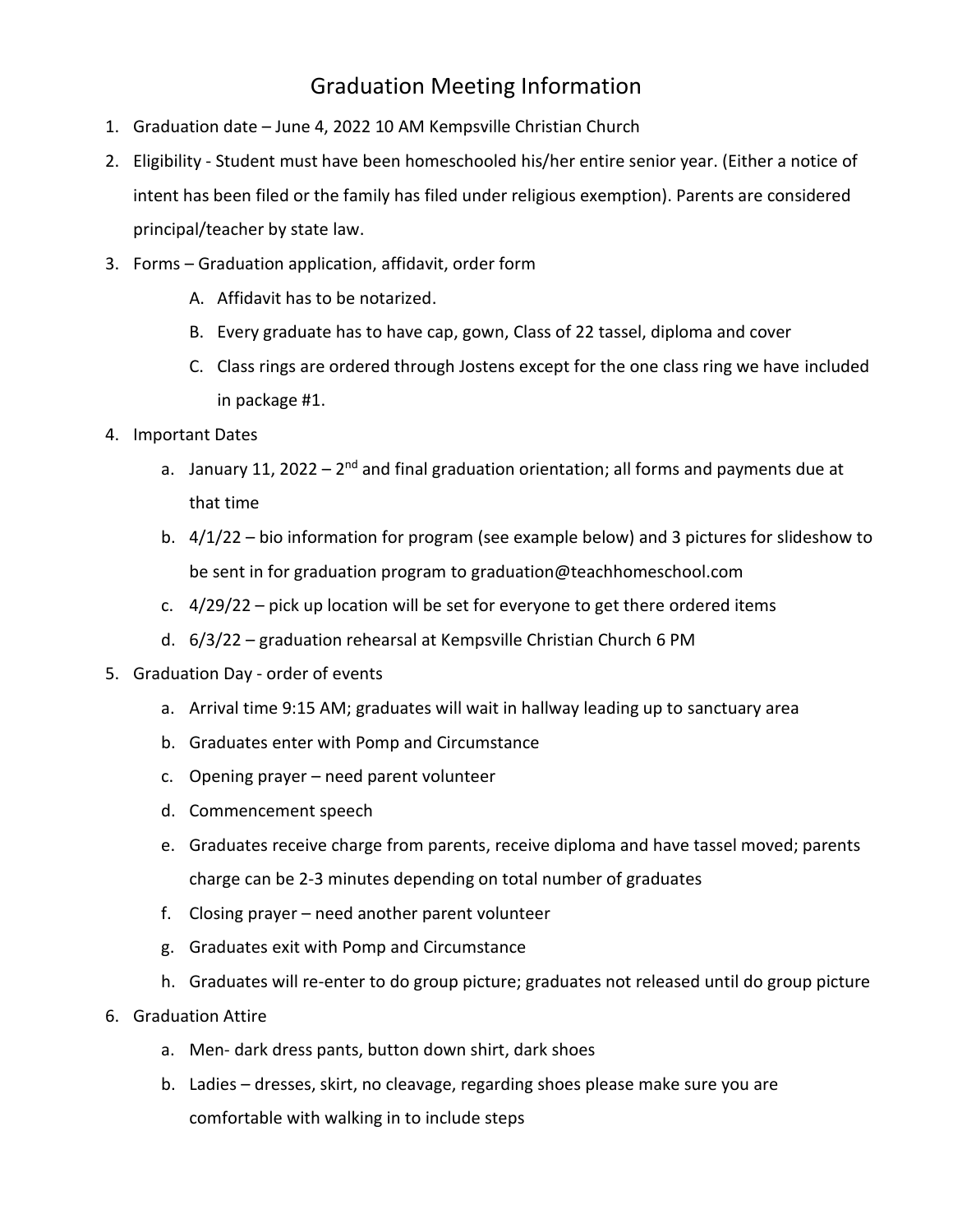## Graduation Meeting Information

- 1. Graduation date June 4, 2022 10 AM Kempsville Christian Church
- 2. Eligibility Student must have been homeschooled his/her entire senior year. (Either a notice of intent has been filed or the family has filed under religious exemption). Parents are considered principal/teacher by state law.
- 3. Forms Graduation application, affidavit, order form
	- A. Affidavit has to be notarized.
	- B. Every graduate has to have cap, gown, Class of 22 tassel, diploma and cover
	- C. Class rings are ordered through Jostens except for the one class ring we have included in package #1.
- 4. Important Dates
	- a. January 11, 2022 2<sup>nd</sup> and final graduation orientation; all forms and payments due at that time
	- b. 4/1/22 bio information for program (see example below) and 3 pictures for slideshow to be sent in for graduation program to graduation@teachhomeschool.com
	- c. 4/29/22 pick up location will be set for everyone to get there ordered items
	- d. 6/3/22 graduation rehearsal at Kempsville Christian Church 6 PM
- 5. Graduation Day order of events
	- a. Arrival time 9:15 AM; graduates will wait in hallway leading up to sanctuary area
	- b. Graduates enter with Pomp and Circumstance
	- c. Opening prayer need parent volunteer
	- d. Commencement speech
	- e. Graduates receive charge from parents, receive diploma and have tassel moved; parents charge can be 2-3 minutes depending on total number of graduates
	- f. Closing prayer need another parent volunteer
	- g. Graduates exit with Pomp and Circumstance
	- h. Graduates will re-enter to do group picture; graduates not released until do group picture
- 6. Graduation Attire
	- a. Men- dark dress pants, button down shirt, dark shoes
	- b. Ladies dresses, skirt, no cleavage, regarding shoes please make sure you are comfortable with walking in to include steps